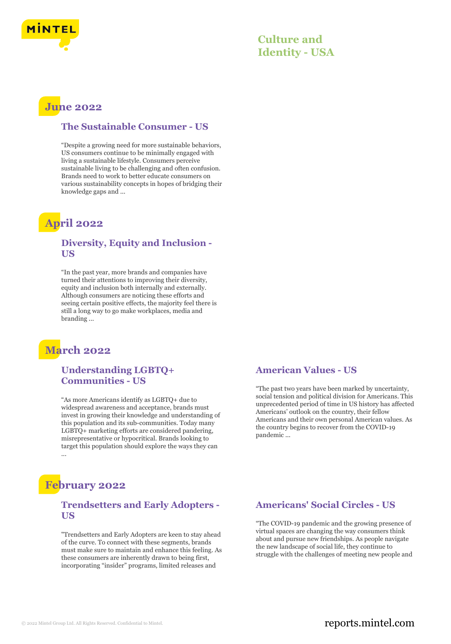

### **Culture and Identity - USA**

# **June 2022**

#### **The Sustainable Consumer - US**

"Despite a growing need for more sustainable behaviors, US consumers continue to be minimally engaged with living a sustainable lifestyle. Consumers perceive sustainable living to be challenging and often confusion. Brands need to work to better educate consumers on various sustainability concepts in hopes of bridging their knowledge gaps and ...

## **April 2022**

#### **Diversity, Equity and Inclusion - US**

"In the past year, more brands and companies have turned their attentions to improving their diversity, equity and inclusion both internally and externally. Although consumers are noticing these efforts and seeing certain positive effects, the majority feel there is still a long way to go make workplaces, media and branding ...

### **March 2022**

#### **Understanding LGBTQ+ Communities - US**

"As more Americans identify as LGBTQ+ due to widespread awareness and acceptance, brands must invest in growing their knowledge and understanding of this population and its sub-communities. Today many LGBTQ+ marketing efforts are considered pandering, misrepresentative or hypocritical. Brands looking to target this population should explore the ways they can

## **February 2022**

...

#### **Trendsetters and Early Adopters - US**

"Trendsetters and Early Adopters are keen to stay ahead of the curve. To connect with these segments, brands must make sure to maintain and enhance this feeling. As these consumers are inherently drawn to being first, incorporating "insider" programs, limited releases and

#### **American Values - US**

"The past two years have been marked by uncertainty, social tension and political division for Americans. This unprecedented period of time in US history has affected Americans' outlook on the country, their fellow Americans and their own personal American values. As the country begins to recover from the COVID-19 pandemic ...

#### **Americans' Social Circles - US**

"The COVID-19 pandemic and the growing presence of virtual spaces are changing the way consumers think about and pursue new friendships. As people navigate the new landscape of social life, they continue to struggle with the challenges of meeting new people and

### © 2022 Mintel Group Ltd. All Rights Reserved. Confidential to Mintel.  $\blacksquare$  reports.mintel.com